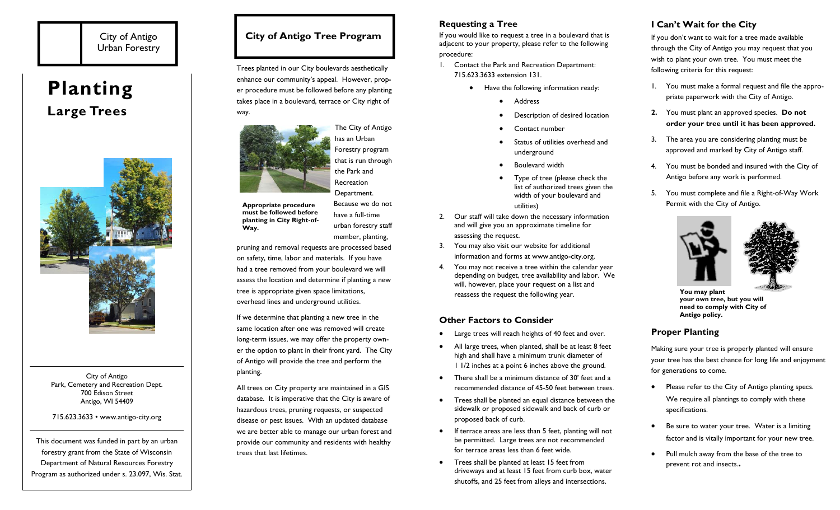# City of Antigo Urban Forestry

# **Planting Large Trees**



City of Antigo Park, Cemetery and Recreation Dept. 700 Edison Street Antigo, WI 54409

#### 715.623.3633 • www.antigo-city.org

This document was funded in part by an urban forestry grant from the State of Wisconsin Department of Natural Resources Forestry Program as authorized under s. 23.097, Wis. Stat.

# **City of Antigo Tree Program**

Trees planted in our City boulevards aesthetically enhance our community's appeal. However, proper procedure must be followed before any planting takes place in a boulevard, terrace or City right of way.



**Appropriate procedure must be followed before planting in City Right-of-Way.** 

have a full-time urban forestry staff member, planting,

pruning and removal requests are processed based on safety, time, labor and materials. If you have had a tree removed from your boulevard we will assess the location and determine if planting a new tree is appropriate given space limitations, overhead lines and underground utilities.

If we determine that planting a new tree in the same location after one was removed will create long-term issues, we may offer the property owner the option to plant in their front yard. The City of Antigo will provide the tree and perform the planting.

All trees on City property are maintained in a GIS database. It is imperative that the City is aware of hazardous trees, pruning requests, or suspected disease or pest issues. With an updated database we are better able to manage our urban forest and provide our community and residents with healthy trees that last lifetimes.

## **Requesting a Tree**

If you would like to request a tree in a boulevard that is adjacent to your property, please refer to the following procedure:

- 1. Contact the Park and Recreation Department: 715.623.3633 extension 131.
	- Have the following information ready:
		- $\bullet$ Address
		- $\bullet$ Description of desired location
		- $\bullet$ Contact number
		- $\bullet$  Status of utilities overhead and underground
		- . Boulevard width
		- $\bullet$  Type of tree (please check the list of authorized trees given the width of your boulevard and utilities)
- 2. Our staff will take down the necessary information and will give you an approximate timeline for assessing the request.
- 3. You may also visit our website for additional information and forms at www.antigo-city.org.
- 4. You may not receive a tree within the calendar year depending on budget, tree availability and labor. We will, however, place your request on a list and reassess the request the following year.

## **Other Factors to Consider**

- $\bullet$ Large trees will reach heights of 40 feet and over.
- $\bullet$  All large trees, when planted, shall be at least 8 feet high and shall have a minimum trunk diameter of 1 1/2 inches at a point 6 inches above the ground.
- $\bullet$  There shall be a minimum distance of 30' feet and a recommended distance of 45-50 feet between trees.
- Trees shall be planted an equal distance between the sidewalk or proposed sidewalk and back of curb or proposed back of curb.
- $\bullet$  If terrace areas are less than 5 feet, planting will not be permitted. Large trees are not recommended for terrace areas less than 6 feet wide.
- $\bullet$  Trees shall be planted at least 15 feet from driveways and at least 15 feet from curb box, water shutoffs, and 25 feet from alleys and intersections.

# **I Can't Wait for the City**

If you don't want to wait for a tree made available through the City of Antigo you may request that you wish to plant your own tree. You must meet the following criteria for this request:

- 1. You must make a formal request and file the appropriate paperwork with the City of Antigo.
- **2.** You must plant an approved species. **Do not order your tree until it has been approved.**
- 3. The area you are considering planting must be approved and marked by City of Antigo staff.
- 4. You must be bonded and insured with the City of Antigo before any work is performed.
- 5. You must complete and file a Right-of-Way Work Permit with the City of Antigo.



**You may plant your own tree, but you will need to comply with City of Antigo policy.** 

## **Proper Planting**

Making sure your tree is properly planted will ensure your tree has the best chance for long life and enjoyment for generations to come.

- $\bullet$  Please refer to the City of Antigo planting specs. We require all plantings to comply with these specifications.
- $\bullet$  Be sure to water your tree. Water is a limiting factor and is vitally important for your new tree.
- $\bullet$  Pull mulch away from the base of the tree to prevent rot and insects.**.**